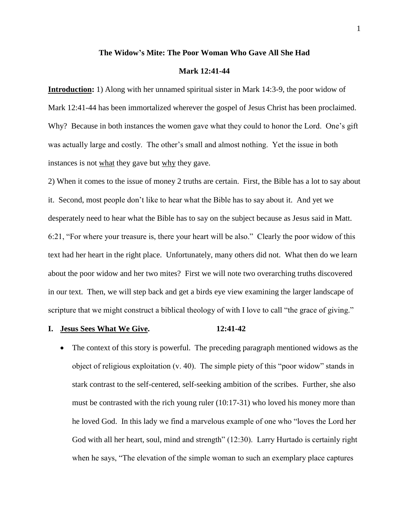#### **The Widow's Mite: The Poor Woman Who Gave All She Had**

# **Mark 12:41-44**

**Introduction:** 1) Along with her unnamed spiritual sister in Mark 14:3-9, the poor widow of Mark 12:41-44 has been immortalized wherever the gospel of Jesus Christ has been proclaimed. Why? Because in both instances the women gave what they could to honor the Lord. One's gift was actually large and costly. The other's small and almost nothing. Yet the issue in both instances is not what they gave but why they gave.

2) When it comes to the issue of money 2 truths are certain. First, the Bible has a lot to say about it. Second, most people don't like to hear what the Bible has to say about it. And yet we desperately need to hear what the Bible has to say on the subject because as Jesus said in Matt. 6:21, "For where your treasure is, there your heart will be also." Clearly the poor widow of this text had her heart in the right place. Unfortunately, many others did not. What then do we learn about the poor widow and her two mites? First we will note two overarching truths discovered in our text. Then, we will step back and get a birds eye view examining the larger landscape of scripture that we might construct a biblical theology of with I love to call "the grace of giving."

# **I. Jesus Sees What We Give. 12:41-42**

• The context of this story is powerful. The preceding paragraph mentioned widows as the object of religious exploitation (v. 40). The simple piety of this "poor widow" stands in stark contrast to the self-centered, self-seeking ambition of the scribes. Further, she also must be contrasted with the rich young ruler (10:17-31) who loved his money more than he loved God. In this lady we find a marvelous example of one who "loves the Lord her God with all her heart, soul, mind and strength" (12:30). Larry Hurtado is certainly right when he says, "The elevation of the simple woman to such an exemplary place captures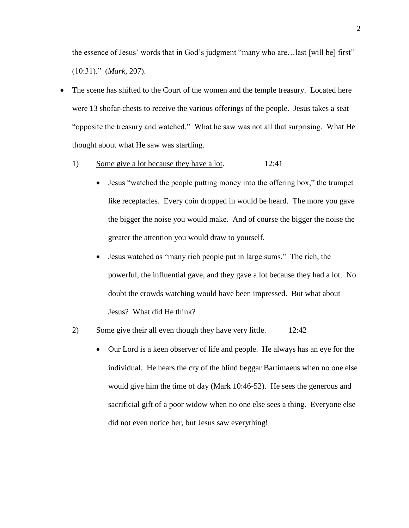the essence of Jesus' words that in God's judgment "many who are…last [will be] first" (10:31)." (*Mark*, 207).

- The scene has shifted to the Court of the women and the temple treasury. Located here were 13 shofar-chests to receive the various offerings of the people. Jesus takes a seat "opposite the treasury and watched." What he saw was not all that surprising. What He thought about what He saw was startling.
	- 1) Some give a lot because they have a lot. 12:41
		- Jesus "watched the people putting money into the offering box," the trumpet like receptacles. Every coin dropped in would be heard. The more you gave the bigger the noise you would make. And of course the bigger the noise the greater the attention you would draw to yourself.
		- Jesus watched as "many rich people put in large sums." The rich, the powerful, the influential gave, and they gave a lot because they had a lot. No doubt the crowds watching would have been impressed. But what about Jesus? What did He think?
	- 2) Some give their all even though they have very little. 12:42
		- Our Lord is a keen observer of life and people. He always has an eye for the individual. He hears the cry of the blind beggar Bartimaeus when no one else would give him the time of day (Mark 10:46-52). He sees the generous and sacrificial gift of a poor widow when no one else sees a thing. Everyone else did not even notice her, but Jesus saw everything!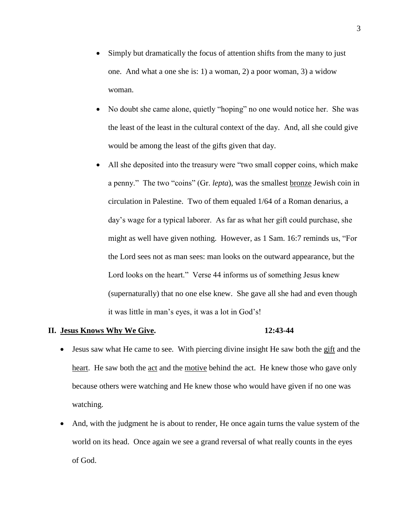- Simply but dramatically the focus of attention shifts from the many to just one. And what a one she is: 1) a woman, 2) a poor woman, 3) a widow woman.
- No doubt she came alone, quietly "hoping" no one would notice her. She was the least of the least in the cultural context of the day. And, all she could give would be among the least of the gifts given that day.
- All she deposited into the treasury were "two small copper coins, which make a penny." The two "coins" (Gr. *lepta*), was the smallest bronze Jewish coin in circulation in Palestine. Two of them equaled 1/64 of a Roman denarius, a day's wage for a typical laborer. As far as what her gift could purchase, she might as well have given nothing. However, as 1 Sam. 16:7 reminds us, "For the Lord sees not as man sees: man looks on the outward appearance, but the Lord looks on the heart." Verse 44 informs us of something Jesus knew (supernaturally) that no one else knew. She gave all she had and even though it was little in man's eyes, it was a lot in God's!

# **II. Jesus Knows Why We Give. 12:43-44**

- Jesus saw what He came to see. With piercing divine insight He saw both the gift and the heart. He saw both the act and the motive behind the act. He knew those who gave only because others were watching and He knew those who would have given if no one was watching.
- And, with the judgment he is about to render, He once again turns the value system of the world on its head. Once again we see a grand reversal of what really counts in the eyes of God.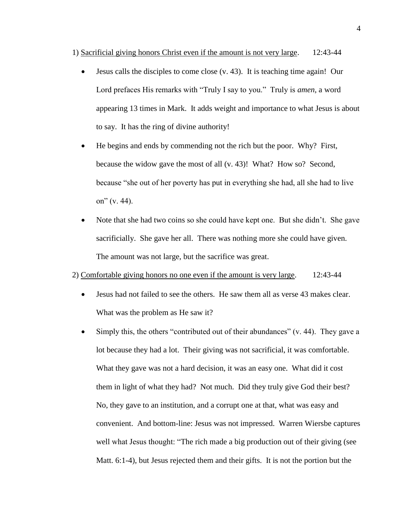1) Sacrificial giving honors Christ even if the amount is not very large. 12:43-44

- Jesus calls the disciples to come close (v. 43). It is teaching time again! Our Lord prefaces His remarks with "Truly I say to you." Truly is *amen*, a word appearing 13 times in Mark. It adds weight and importance to what Jesus is about to say. It has the ring of divine authority!
- He begins and ends by commending not the rich but the poor. Why? First, because the widow gave the most of all (v. 43)! What? How so? Second, because "she out of her poverty has put in everything she had, all she had to live on"  $(v. 44)$ .
- Note that she had two coins so she could have kept one. But she didn't. She gave sacrificially. She gave her all. There was nothing more she could have given. The amount was not large, but the sacrifice was great.

### 2) Comfortable giving honors no one even if the amount is very large. 12:43-44

- Jesus had not failed to see the others. He saw them all as verse 43 makes clear. What was the problem as He saw it?
- $\bullet$  Simply this, the others "contributed out of their abundances" (v. 44). They gave a lot because they had a lot. Their giving was not sacrificial, it was comfortable. What they gave was not a hard decision, it was an easy one. What did it cost them in light of what they had? Not much. Did they truly give God their best? No, they gave to an institution, and a corrupt one at that, what was easy and convenient. And bottom-line: Jesus was not impressed. Warren Wiersbe captures well what Jesus thought: "The rich made a big production out of their giving (see Matt. 6:1-4), but Jesus rejected them and their gifts. It is not the portion but the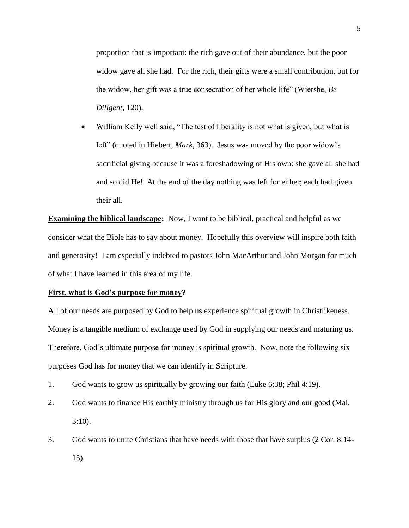proportion that is important: the rich gave out of their abundance, but the poor widow gave all she had. For the rich, their gifts were a small contribution, but for the widow, her gift was a true consecration of her whole life" (Wiersbe, *Be Diligent*, 120).

 William Kelly well said, "The test of liberality is not what is given, but what is left" (quoted in Hiebert, *Mark*, 363). Jesus was moved by the poor widow's sacrificial giving because it was a foreshadowing of His own: she gave all she had and so did He! At the end of the day nothing was left for either; each had given their all.

**Examining the biblical landscape:** Now, I want to be biblical, practical and helpful as we consider what the Bible has to say about money. Hopefully this overview will inspire both faith and generosity! I am especially indebted to pastors John MacArthur and John Morgan for much of what I have learned in this area of my life.

#### **First, what is God's purpose for money?**

All of our needs are purposed by God to help us experience spiritual growth in Christlikeness. Money is a tangible medium of exchange used by God in supplying our needs and maturing us. Therefore, God's ultimate purpose for money is spiritual growth. Now, note the following six purposes God has for money that we can identify in Scripture.

- 1. God wants to grow us spiritually by growing our faith (Luke 6:38; Phil 4:19).
- 2. God wants to finance His earthly ministry through us for His glory and our good (Mal. 3:10).
- 3. God wants to unite Christians that have needs with those that have surplus (2 Cor. 8:14- 15).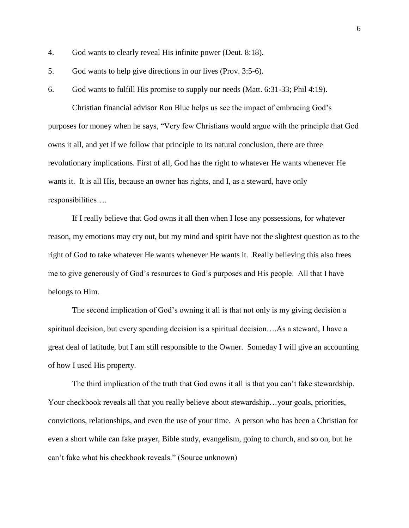- 4. God wants to clearly reveal His infinite power (Deut. 8:18).
- 5. God wants to help give directions in our lives (Prov. 3:5-6).
- 6. God wants to fulfill His promise to supply our needs (Matt. 6:31-33; Phil 4:19).

Christian financial advisor Ron Blue helps us see the impact of embracing God's purposes for money when he says, "Very few Christians would argue with the principle that God owns it all, and yet if we follow that principle to its natural conclusion, there are three revolutionary implications. First of all, God has the right to whatever He wants whenever He wants it. It is all His, because an owner has rights, and I, as a steward, have only responsibilities….

If I really believe that God owns it all then when I lose any possessions, for whatever reason, my emotions may cry out, but my mind and spirit have not the slightest question as to the right of God to take whatever He wants whenever He wants it. Really believing this also frees me to give generously of God's resources to God's purposes and His people. All that I have belongs to Him.

The second implication of God's owning it all is that not only is my giving decision a spiritual decision, but every spending decision is a spiritual decision….As a steward, I have a great deal of latitude, but I am still responsible to the Owner. Someday I will give an accounting of how I used His property.

The third implication of the truth that God owns it all is that you can't fake stewardship. Your checkbook reveals all that you really believe about stewardship... your goals, priorities, convictions, relationships, and even the use of your time. A person who has been a Christian for even a short while can fake prayer, Bible study, evangelism, going to church, and so on, but he can't fake what his checkbook reveals." (Source unknown)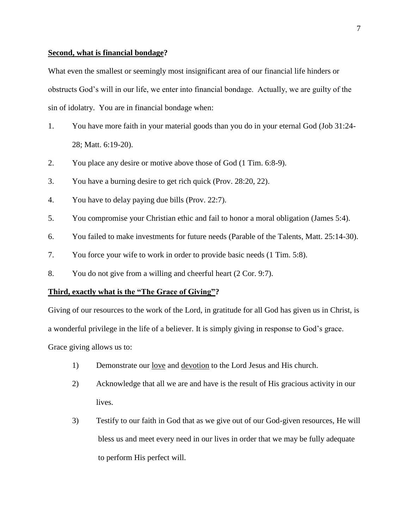# **Second, what is financial bondage?**

What even the smallest or seemingly most insignificant area of our financial life hinders or obstructs God's will in our life, we enter into financial bondage. Actually, we are guilty of the sin of idolatry. You are in financial bondage when:

- 1. You have more faith in your material goods than you do in your eternal God (Job 31:24- 28; Matt. 6:19-20).
- 2. You place any desire or motive above those of God (1 Tim. 6:8-9).
- 3. You have a burning desire to get rich quick (Prov. 28:20, 22).
- 4. You have to delay paying due bills (Prov. 22:7).
- 5. You compromise your Christian ethic and fail to honor a moral obligation (James 5:4).
- 6. You failed to make investments for future needs (Parable of the Talents, Matt. 25:14-30).
- 7. You force your wife to work in order to provide basic needs (1 Tim. 5:8).
- 8. You do not give from a willing and cheerful heart (2 Cor. 9:7).

### **Third, exactly what is the "The Grace of Giving"?**

Giving of our resources to the work of the Lord, in gratitude for all God has given us in Christ, is a wonderful privilege in the life of a believer. It is simply giving in response to God's grace. Grace giving allows us to:

- 1) Demonstrate our love and devotion to the Lord Jesus and His church.
- 2) Acknowledge that all we are and have is the result of His gracious activity in our lives.
- 3) Testify to our faith in God that as we give out of our God-given resources, He will bless us and meet every need in our lives in order that we may be fully adequate to perform His perfect will.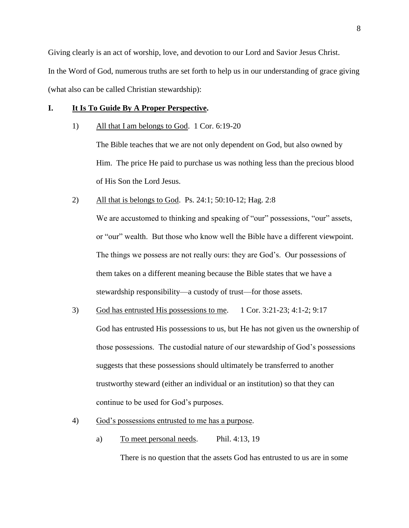Giving clearly is an act of worship, love, and devotion to our Lord and Savior Jesus Christ. In the Word of God, numerous truths are set forth to help us in our understanding of grace giving (what also can be called Christian stewardship):

# **I. It Is To Guide By A Proper Perspective.**

1) All that I am belongs to God. 1 Cor. 6:19-20

The Bible teaches that we are not only dependent on God, but also owned by Him. The price He paid to purchase us was nothing less than the precious blood of His Son the Lord Jesus.

2) All that is belongs to God. Ps. 24:1; 50:10-12; Hag. 2:8

We are accustomed to thinking and speaking of "our" possessions, "our" assets, or "our" wealth. But those who know well the Bible have a different viewpoint. The things we possess are not really ours: they are God's. Our possessions of them takes on a different meaning because the Bible states that we have a stewardship responsibility—a custody of trust—for those assets.

- 3) God has entrusted His possessions to me. 1 Cor. 3:21-23; 4:1-2; 9:17 God has entrusted His possessions to us, but He has not given us the ownership of those possessions. The custodial nature of our stewardship of God's possessions suggests that these possessions should ultimately be transferred to another trustworthy steward (either an individual or an institution) so that they can continue to be used for God's purposes.
- 4) God's possessions entrusted to me has a purpose.
	- a) To meet personal needs. Phil. 4:13, 19

There is no question that the assets God has entrusted to us are in some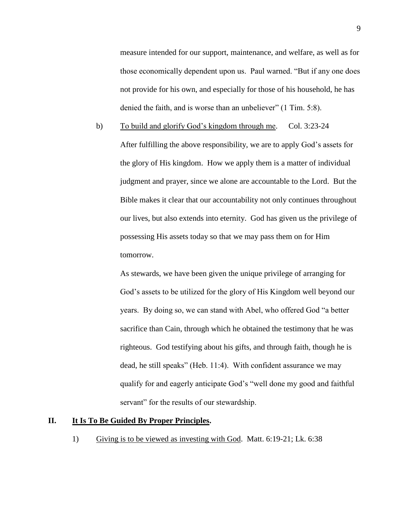measure intended for our support, maintenance, and welfare, as well as for those economically dependent upon us. Paul warned. "But if any one does not provide for his own, and especially for those of his household, he has denied the faith, and is worse than an unbeliever" (1 Tim. 5:8).

b) To build and glorify God's kingdom through me. Col. 3:23-24 After fulfilling the above responsibility, we are to apply God's assets for the glory of His kingdom. How we apply them is a matter of individual judgment and prayer, since we alone are accountable to the Lord. But the Bible makes it clear that our accountability not only continues throughout our lives, but also extends into eternity. God has given us the privilege of possessing His assets today so that we may pass them on for Him tomorrow.

As stewards, we have been given the unique privilege of arranging for God's assets to be utilized for the glory of His Kingdom well beyond our years. By doing so, we can stand with Abel, who offered God "a better sacrifice than Cain, through which he obtained the testimony that he was righteous. God testifying about his gifts, and through faith, though he is dead, he still speaks" (Heb. 11:4). With confident assurance we may qualify for and eagerly anticipate God's "well done my good and faithful servant" for the results of our stewardship.

# **II. It Is To Be Guided By Proper Principles.**

1) Giving is to be viewed as investing with God. Matt. 6:19-21; Lk. 6:38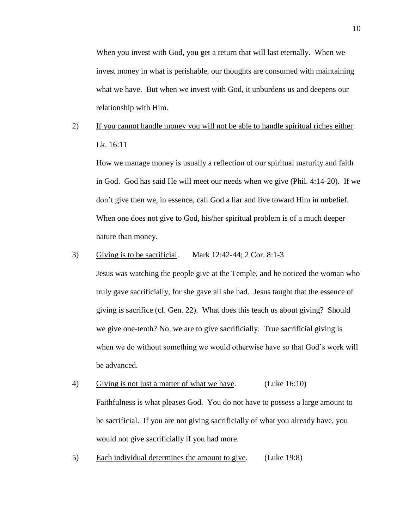When you invest with God, you get a return that will last eternally. When we invest money in what is perishable, our thoughts are consumed with maintaining what we have. But when we invest with God, it unburdens us and deepens our relationship with Him.

# 2) If you cannot handle money you will not be able to handle spiritual riches either. Lk. 16:11

How we manage money is usually a reflection of our spiritual maturity and faith in God. God has said He will meet our needs when we give (Phil. 4:14-20). If we don't give then we, in essence, call God a liar and live toward Him in unbelief. When one does not give to God, his/her spiritual problem is of a much deeper nature than money.

#### 3) Giving is to be sacrificial. Mark 12:42-44; 2 Cor. 8:1-3

Jesus was watching the people give at the Temple, and he noticed the woman who truly gave sacrificially, for she gave all she had. Jesus taught that the essence of giving is sacrifice (cf. Gen. 22). What does this teach us about giving? Should we give one-tenth? No, we are to give sacrificially. True sacrificial giving is when we do without something we would otherwise have so that God's work will be advanced.

- 4) Giving is not just a matter of what we have. (Luke 16:10) Faithfulness is what pleases God. You do not have to possess a large amount to be sacrificial. If you are not giving sacrificially of what you already have, you would not give sacrificially if you had more.
- 5) Each individual determines the amount to give. (Luke 19:8)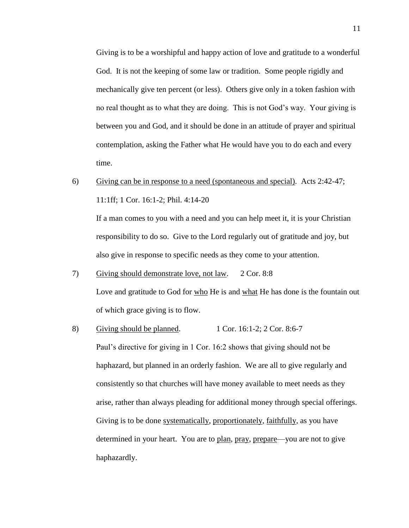Giving is to be a worshipful and happy action of love and gratitude to a wonderful God. It is not the keeping of some law or tradition. Some people rigidly and mechanically give ten percent (or less). Others give only in a token fashion with no real thought as to what they are doing. This is not God's way. Your giving is between you and God, and it should be done in an attitude of prayer and spiritual contemplation, asking the Father what He would have you to do each and every time.

6) Giving can be in response to a need (spontaneous and special). Acts 2:42-47; 11:1ff; 1 Cor. 16:1-2; Phil. 4:14-20

If a man comes to you with a need and you can help meet it, it is your Christian responsibility to do so. Give to the Lord regularly out of gratitude and joy, but also give in response to specific needs as they come to your attention.

- 7) Giving should demonstrate love, not law. 2 Cor. 8:8 Love and gratitude to God for who He is and what He has done is the fountain out of which grace giving is to flow.
- 8) Giving should be planned.  $1 \text{ Cor. } 16:1-2$ ;  $2 \text{ Cor. } 8:6-7$ Paul's directive for giving in 1 Cor. 16:2 shows that giving should not be haphazard, but planned in an orderly fashion. We are all to give regularly and consistently so that churches will have money available to meet needs as they arise, rather than always pleading for additional money through special offerings. Giving is to be done systematically, proportionately, faithfully, as you have determined in your heart. You are to plan, pray, prepare—you are not to give haphazardly.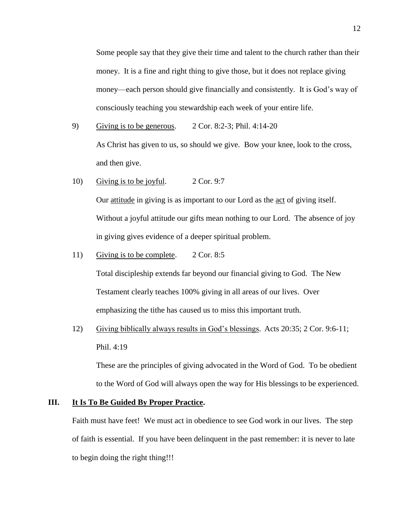Some people say that they give their time and talent to the church rather than their money. It is a fine and right thing to give those, but it does not replace giving money—each person should give financially and consistently. It is God's way of consciously teaching you stewardship each week of your entire life.

- 9) Giving is to be generous. 2 Cor. 8:2-3; Phil. 4:14-20 As Christ has given to us, so should we give. Bow your knee, look to the cross, and then give.
- 10) Giving is to be joyful. 2 Cor. 9:7 Our attitude in giving is as important to our Lord as the act of giving itself. Without a joyful attitude our gifts mean nothing to our Lord. The absence of joy in giving gives evidence of a deeper spiritual problem.
- 11) Giving is to be complete. 2 Cor. 8:5

Total discipleship extends far beyond our financial giving to God. The New Testament clearly teaches 100% giving in all areas of our lives. Over emphasizing the tithe has caused us to miss this important truth.

12) Giving biblically always results in God's blessings. Acts 20:35; 2 Cor. 9:6-11; Phil. 4:19

These are the principles of giving advocated in the Word of God. To be obedient to the Word of God will always open the way for His blessings to be experienced.

# **III. It Is To Be Guided By Proper Practice.**

Faith must have feet! We must act in obedience to see God work in our lives. The step of faith is essential. If you have been delinquent in the past remember: it is never to late to begin doing the right thing!!!